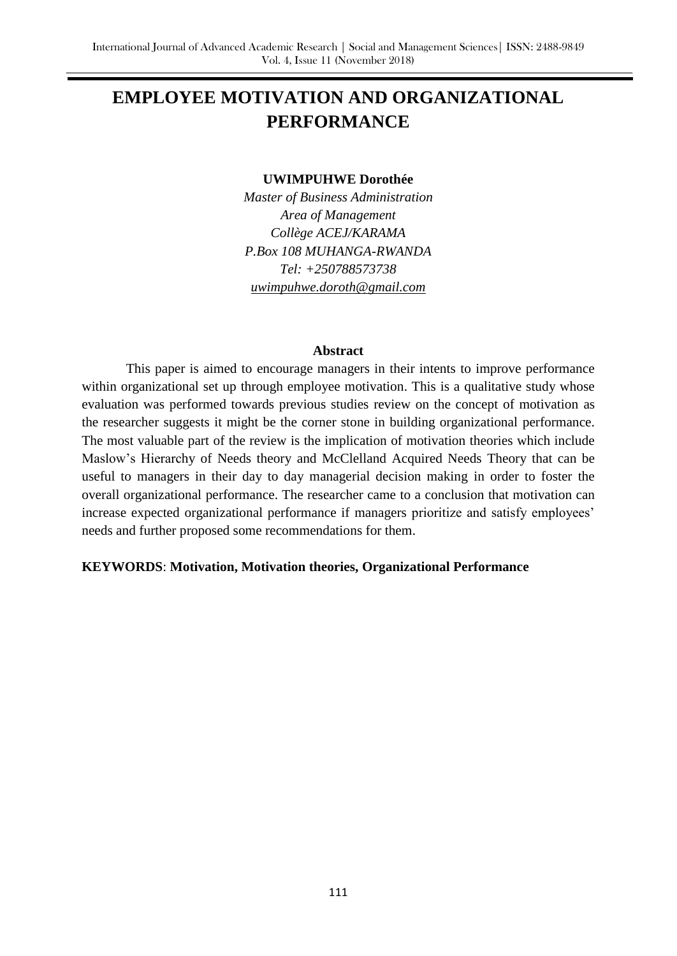# **EMPLOYEE MOTIVATION AND ORGANIZATIONAL PERFORMANCE**

#### **UWIMPUHWE Dorothée**

*Master of Business Administration Area of Management Collège ACEJ/KARAMA P.Box 108 MUHANGA-RWANDA Tel: +250788573738 [uwimpuhwe.doroth@gmail.com](mailto:uwimpuhwe.doroth@gmail.com)*

#### **Abstract**

This paper is aimed to encourage managers in their intents to improve performance within organizational set up through employee motivation. This is a qualitative study whose evaluation was performed towards previous studies review on the concept of motivation as the researcher suggests it might be the corner stone in building organizational performance. The most valuable part of the review is the implication of motivation theories which include Maslow's Hierarchy of Needs theory and McClelland Acquired Needs Theory that can be useful to managers in their day to day managerial decision making in order to foster the overall organizational performance. The researcher came to a conclusion that motivation can increase expected organizational performance if managers prioritize and satisfy employees' needs and further proposed some recommendations for them.

#### **KEYWORDS**: **Motivation, Motivation theories, Organizational Performance**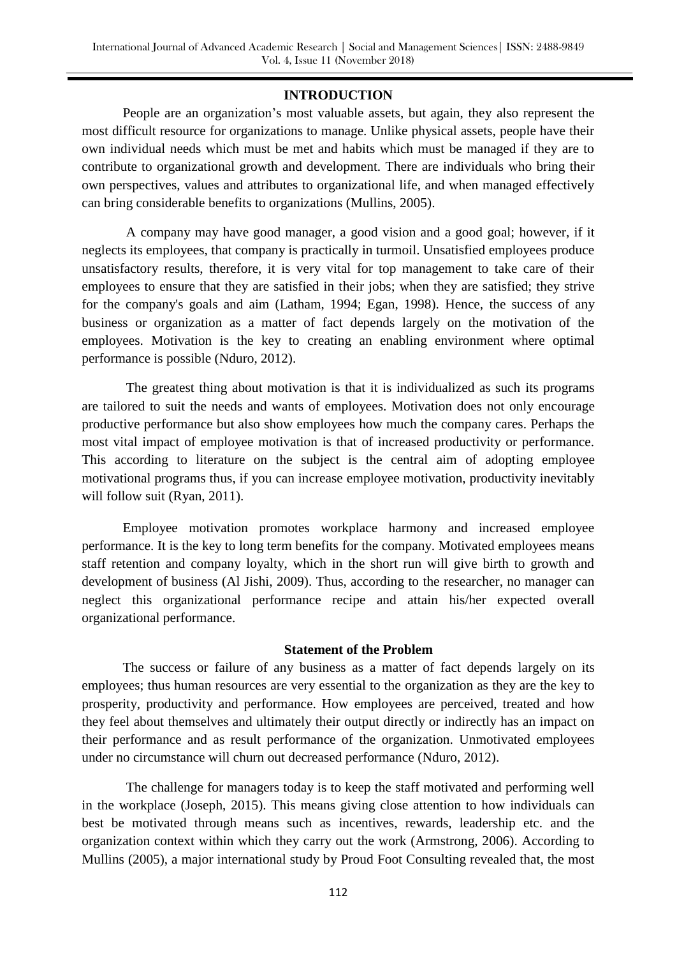# **INTRODUCTION**

People are an organization's most valuable assets, but again, they also represent the most difficult resource for organizations to manage. Unlike physical assets, people have their own individual needs which must be met and habits which must be managed if they are to contribute to organizational growth and development. There are individuals who bring their own perspectives, values and attributes to organizational life, and when managed effectively can bring considerable benefits to organizations (Mullins, 2005).

A company may have good manager, a good vision and a good goal; however, if it neglects its employees, that company is practically in turmoil. Unsatisfied employees produce unsatisfactory results, therefore, it is very vital for top management to take care of their employees to ensure that they are satisfied in their jobs; when they are satisfied; they strive for the company's goals and aim (Latham, 1994; Egan, 1998). Hence, the success of any business or organization as a matter of fact depends largely on the motivation of the employees. Motivation is the key to creating an enabling environment where optimal performance is possible (Nduro, 2012).

The greatest thing about motivation is that it is individualized as such its programs are tailored to suit the needs and wants of employees. Motivation does not only encourage productive performance but also show employees how much the company cares. Perhaps the most vital impact of employee motivation is that of increased productivity or performance. This according to literature on the subject is the central aim of adopting employee motivational programs thus, if you can increase employee motivation, productivity inevitably will follow suit (Ryan, 2011).

Employee motivation promotes workplace harmony and increased employee performance. It is the key to long term benefits for the company. Motivated employees means staff retention and company loyalty, which in the short run will give birth to growth and development of business (Al Jishi, 2009). Thus, according to the researcher, no manager can neglect this organizational performance recipe and attain his/her expected overall organizational performance.

#### **Statement of the Problem**

The success or failure of any business as a matter of fact depends largely on its employees; thus human resources are very essential to the organization as they are the key to prosperity, productivity and performance. How employees are perceived, treated and how they feel about themselves and ultimately their output directly or indirectly has an impact on their performance and as result performance of the organization. Unmotivated employees under no circumstance will churn out decreased performance (Nduro, 2012).

The challenge for managers today is to keep the staff motivated and performing well in the workplace (Joseph, 2015). This means giving close attention to how individuals can best be motivated through means such as incentives, rewards, leadership etc. and the organization context within which they carry out the work (Armstrong, 2006). According to Mullins (2005), a major international study by Proud Foot Consulting revealed that, the most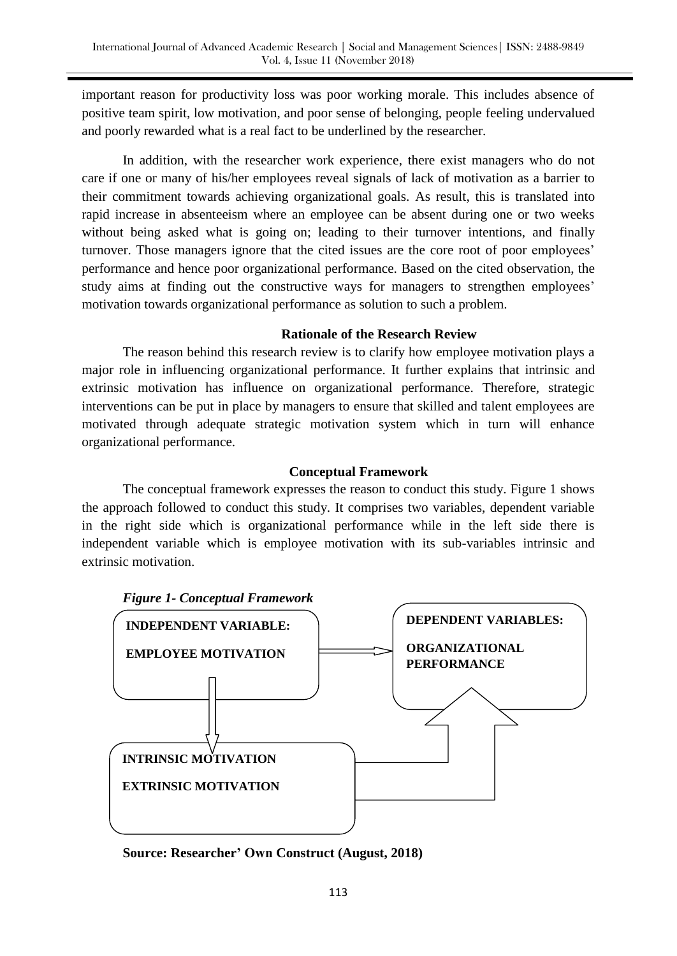important reason for productivity loss was poor working morale. This includes absence of positive team spirit, low motivation, and poor sense of belonging, people feeling undervalued and poorly rewarded what is a real fact to be underlined by the researcher.

In addition, with the researcher work experience, there exist managers who do not care if one or many of his/her employees reveal signals of lack of motivation as a barrier to their commitment towards achieving organizational goals. As result, this is translated into rapid increase in absenteeism where an employee can be absent during one or two weeks without being asked what is going on; leading to their turnover intentions, and finally turnover. Those managers ignore that the cited issues are the core root of poor employees' performance and hence poor organizational performance. Based on the cited observation, the study aims at finding out the constructive ways for managers to strengthen employees' motivation towards organizational performance as solution to such a problem.

# **Rationale of the Research Review**

The reason behind this research review is to clarify how employee motivation plays a major role in influencing organizational performance. It further explains that intrinsic and extrinsic motivation has influence on organizational performance. Therefore, strategic interventions can be put in place by managers to ensure that skilled and talent employees are motivated through adequate strategic motivation system which in turn will enhance organizational performance.

# **Conceptual Framework**

The conceptual framework expresses the reason to conduct this study. Figure 1 shows the approach followed to conduct this study. It comprises two variables, dependent variable in the right side which is organizational performance while in the left side there is independent variable which is employee motivation with its sub-variables intrinsic and extrinsic motivation.



**Source: Researcher' Own Construct (August, 2018)**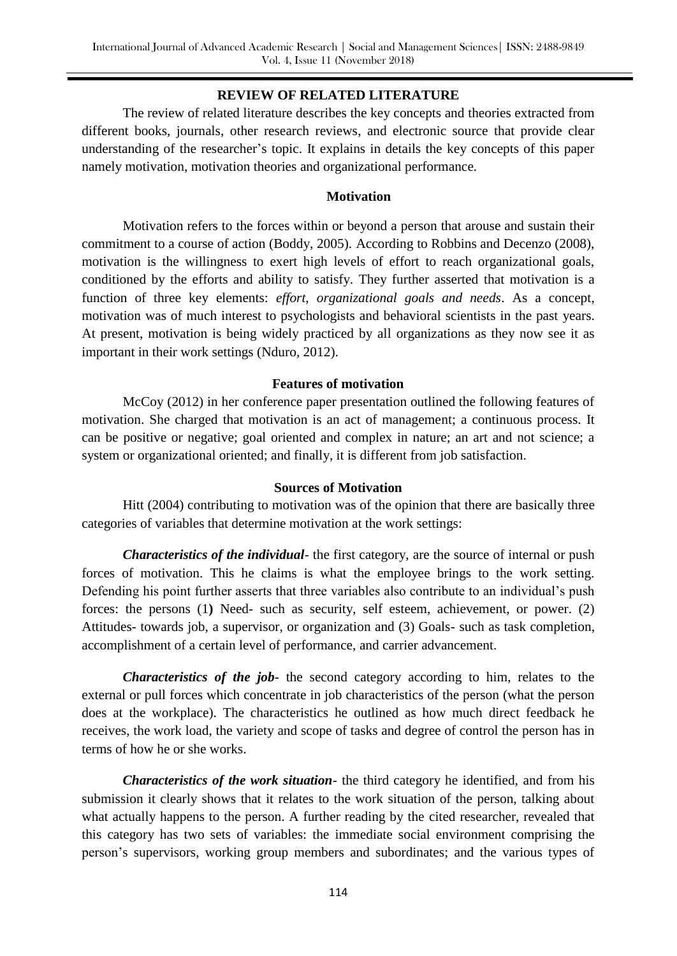# **REVIEW OF RELATED LITERATURE**

The review of related literature describes the key concepts and theories extracted from different books, journals, other research reviews, and electronic source that provide clear understanding of the researcher's topic. It explains in details the key concepts of this paper namely motivation, motivation theories and organizational performance.

### **Motivation**

Motivation refers to the forces within or beyond a person that arouse and sustain their commitment to a course of action (Boddy, 2005). According to Robbins and Decenzo (2008), motivation is the willingness to exert high levels of effort to reach organizational goals, conditioned by the efforts and ability to satisfy. They further asserted that motivation is a function of three key elements: *effort, organizational goals and needs*. As a concept, motivation was of much interest to psychologists and behavioral scientists in the past years. At present, motivation is being widely practiced by all organizations as they now see it as important in their work settings (Nduro, 2012).

#### **Features of motivation**

McCoy (2012) in her conference paper presentation outlined the following features of motivation. She charged that motivation is an act of management; a continuous process. It can be positive or negative; goal oriented and complex in nature; an art and not science; a system or organizational oriented; and finally, it is different from job satisfaction.

#### **Sources of Motivation**

Hitt (2004) contributing to motivation was of the opinion that there are basically three categories of variables that determine motivation at the work settings:

*Characteristics of the individual*- the first category, are the source of internal or push forces of motivation. This he claims is what the employee brings to the work setting. Defending his point further asserts that three variables also contribute to an individual's push forces: the persons (1**)** Need- such as security, self esteem, achievement, or power. (2) Attitudes- towards job, a supervisor, or organization and (3) Goals- such as task completion, accomplishment of a certain level of performance, and carrier advancement.

*Characteristics of the job*- the second category according to him, relates to the external or pull forces which concentrate in job characteristics of the person (what the person does at the workplace). The characteristics he outlined as how much direct feedback he receives, the work load, the variety and scope of tasks and degree of control the person has in terms of how he or she works.

*Characteristics of the work situation*- the third category he identified, and from his submission it clearly shows that it relates to the work situation of the person, talking about what actually happens to the person. A further reading by the cited researcher, revealed that this category has two sets of variables: the immediate social environment comprising the person's supervisors, working group members and subordinates; and the various types of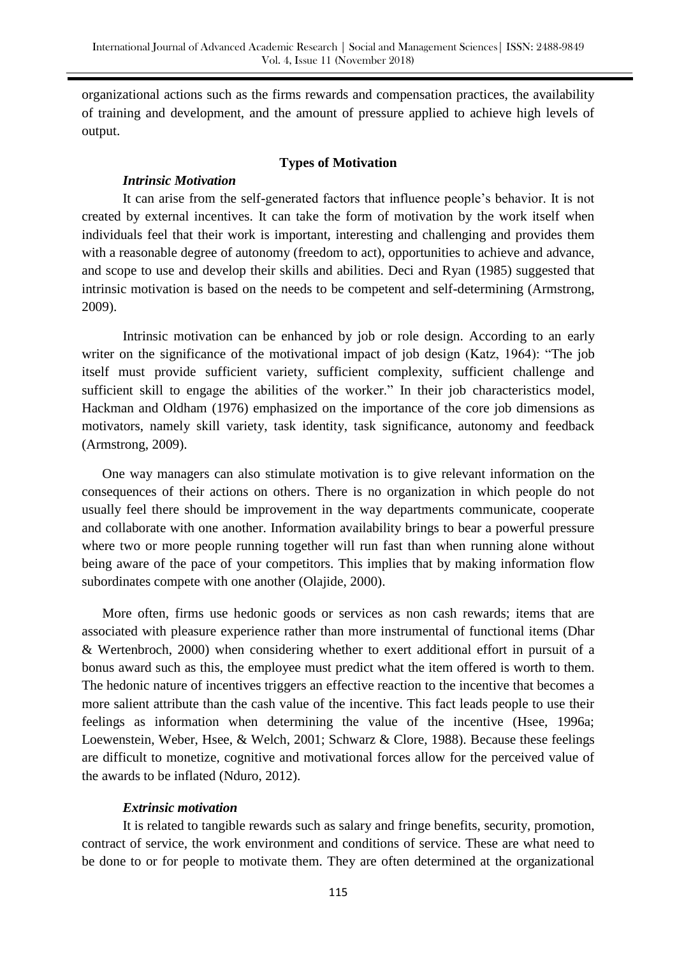organizational actions such as the firms rewards and compensation practices, the availability of training and development, and the amount of pressure applied to achieve high levels of output.

#### **Types of Motivation**

#### *Intrinsic Motivation*

It can arise from the self-generated factors that influence people's behavior. It is not created by external incentives. It can take the form of motivation by the work itself when individuals feel that their work is important, interesting and challenging and provides them with a reasonable degree of autonomy (freedom to act), opportunities to achieve and advance, and scope to use and develop their skills and abilities. Deci and Ryan (1985) suggested that intrinsic motivation is based on the needs to be competent and self-determining (Armstrong, 2009).

Intrinsic motivation can be enhanced by job or role design. According to an early writer on the significance of the motivational impact of job design (Katz, 1964): "The job itself must provide sufficient variety, sufficient complexity, sufficient challenge and sufficient skill to engage the abilities of the worker." In their job characteristics model, Hackman and Oldham (1976) emphasized on the importance of the core job dimensions as motivators, namely skill variety, task identity, task significance, autonomy and feedback (Armstrong, 2009).

One way managers can also stimulate motivation is to give relevant information on the consequences of their actions on others. There is no organization in which people do not usually feel there should be improvement in the way departments communicate, cooperate and collaborate with one another. Information availability brings to bear a powerful pressure where two or more people running together will run fast than when running alone without being aware of the pace of your competitors. This implies that by making information flow subordinates compete with one another (Olajide, 2000).

More often, firms use hedonic goods or services as non cash rewards; items that are associated with pleasure experience rather than more instrumental of functional items (Dhar & Wertenbroch, 2000) when considering whether to exert additional effort in pursuit of a bonus award such as this, the employee must predict what the item offered is worth to them. The hedonic nature of incentives triggers an effective reaction to the incentive that becomes a more salient attribute than the cash value of the incentive. This fact leads people to use their feelings as information when determining the value of the incentive (Hsee, 1996a; Loewenstein, Weber, Hsee, & Welch, 2001; Schwarz & Clore, 1988). Because these feelings are difficult to monetize, cognitive and motivational forces allow for the perceived value of the awards to be inflated (Nduro, 2012).

#### *Extrinsic motivation*

It is related to tangible rewards such as salary and fringe benefits, security, promotion, contract of service, the work environment and conditions of service. These are what need to be done to or for people to motivate them. They are often determined at the organizational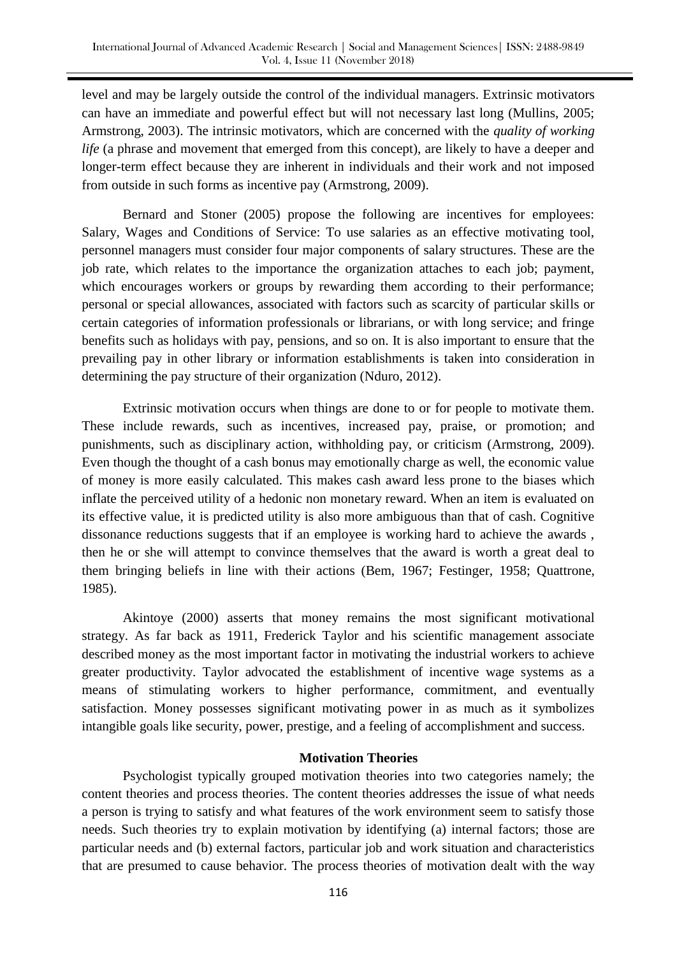level and may be largely outside the control of the individual managers. Extrinsic motivators can have an immediate and powerful effect but will not necessary last long (Mullins, 2005; Armstrong, 2003). The intrinsic motivators, which are concerned with the *quality of working life* (a phrase and movement that emerged from this concept), are likely to have a deeper and longer-term effect because they are inherent in individuals and their work and not imposed from outside in such forms as incentive pay (Armstrong, 2009).

Bernard and Stoner (2005) propose the following are incentives for employees: Salary, Wages and Conditions of Service: To use salaries as an effective motivating tool, personnel managers must consider four major components of salary structures. These are the job rate, which relates to the importance the organization attaches to each job; payment, which encourages workers or groups by rewarding them according to their performance; personal or special allowances, associated with factors such as scarcity of particular skills or certain categories of information professionals or librarians, or with long service; and fringe benefits such as holidays with pay, pensions, and so on. It is also important to ensure that the prevailing pay in other library or information establishments is taken into consideration in determining the pay structure of their organization (Nduro, 2012).

Extrinsic motivation occurs when things are done to or for people to motivate them. These include rewards, such as incentives, increased pay, praise, or promotion; and punishments, such as disciplinary action, withholding pay, or criticism (Armstrong, 2009). Even though the thought of a cash bonus may emotionally charge as well, the economic value of money is more easily calculated. This makes cash award less prone to the biases which inflate the perceived utility of a hedonic non monetary reward. When an item is evaluated on its effective value, it is predicted utility is also more ambiguous than that of cash. Cognitive dissonance reductions suggests that if an employee is working hard to achieve the awards , then he or she will attempt to convince themselves that the award is worth a great deal to them bringing beliefs in line with their actions (Bem, 1967; Festinger, 1958; Quattrone, 1985).

Akintoye (2000) asserts that money remains the most significant motivational strategy. As far back as 1911, Frederick Taylor and his scientific management associate described money as the most important factor in motivating the industrial workers to achieve greater productivity. Taylor advocated the establishment of incentive wage systems as a means of stimulating workers to higher performance, commitment, and eventually satisfaction. Money possesses significant motivating power in as much as it symbolizes intangible goals like security, power, prestige, and a feeling of accomplishment and success.

#### **Motivation Theories**

Psychologist typically grouped motivation theories into two categories namely; the content theories and process theories. The content theories addresses the issue of what needs a person is trying to satisfy and what features of the work environment seem to satisfy those needs. Such theories try to explain motivation by identifying (a) internal factors; those are particular needs and (b) external factors, particular job and work situation and characteristics that are presumed to cause behavior. The process theories of motivation dealt with the way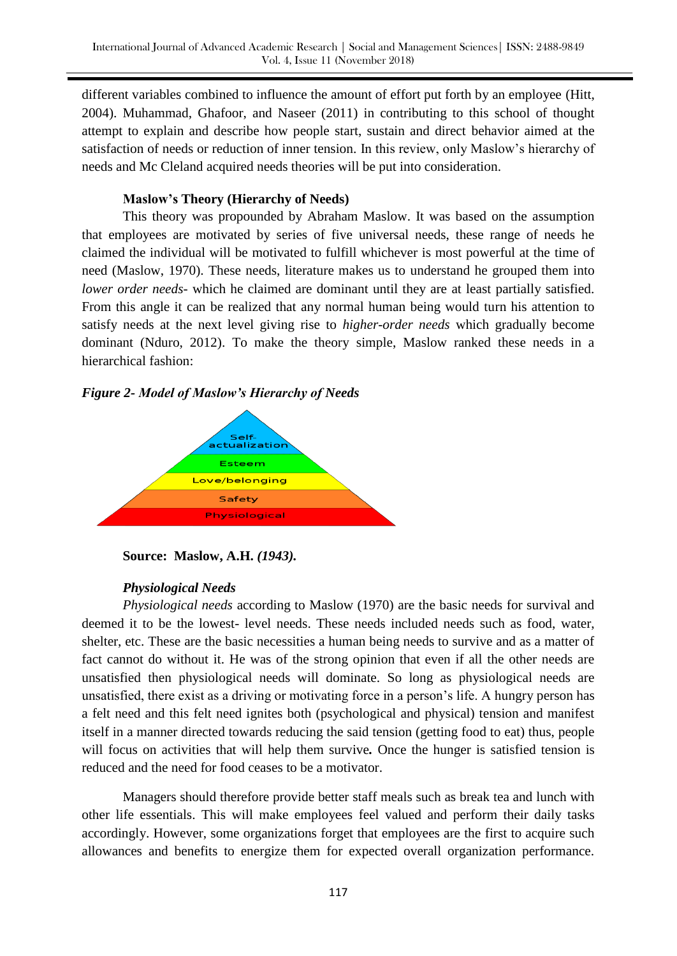different variables combined to influence the amount of effort put forth by an employee (Hitt, 2004). Muhammad, Ghafoor, and Naseer (2011) in contributing to this school of thought attempt to explain and describe how people start, sustain and direct behavior aimed at the satisfaction of needs or reduction of inner tension. In this review, only Maslow's hierarchy of needs and Mc Cleland acquired needs theories will be put into consideration.

# **Maslow's Theory (Hierarchy of Needs)**

This theory was propounded by Abraham Maslow. It was based on the assumption that employees are motivated by series of five universal needs, these range of needs he claimed the individual will be motivated to fulfill whichever is most powerful at the time of need (Maslow, 1970). These needs, literature makes us to understand he grouped them into *lower order needs*- which he claimed are dominant until they are at least partially satisfied. From this angle it can be realized that any normal human being would turn his attention to satisfy needs at the next level giving rise to *higher-order needs* which gradually become dominant (Nduro, 2012). To make the theory simple, Maslow ranked these needs in a hierarchical fashion:

# *Figure 2- Model of Maslow's Hierarchy of Needs*



**Source: [Maslow, A.H.](https://en.wikipedia.org/wiki/Abraham_Maslow)** *(1943).*

# *Physiological Needs*

*Physiological needs* according to Maslow (1970) are the basic needs for survival and deemed it to be the lowest- level needs. These needs included needs such as food, water, shelter, etc. These are the basic necessities a human being needs to survive and as a matter of fact cannot do without it. He was of the strong opinion that even if all the other needs are unsatisfied then physiological needs will dominate. So long as physiological needs are unsatisfied, there exist as a driving or motivating force in a person's life. A hungry person has a felt need and this felt need ignites both (psychological and physical) tension and manifest itself in a manner directed towards reducing the said tension (getting food to eat) thus, people will focus on activities that will help them survive*.* Once the hunger is satisfied tension is reduced and the need for food ceases to be a motivator.

Managers should therefore provide better staff meals such as break tea and lunch with other life essentials. This will make employees feel valued and perform their daily tasks accordingly. However, some organizations forget that employees are the first to acquire such allowances and benefits to energize them for expected overall organization performance.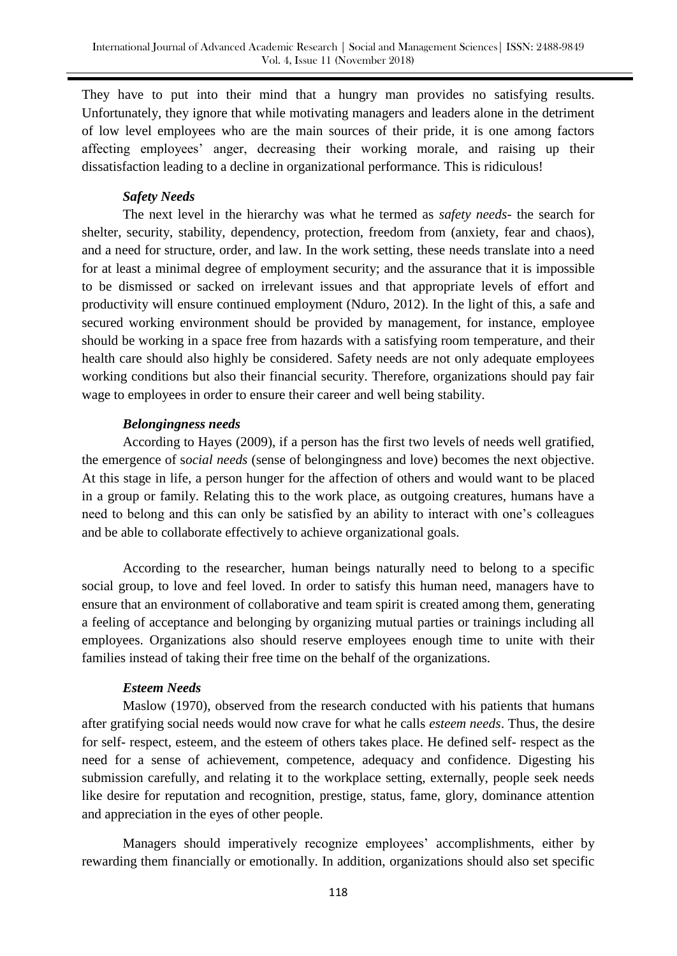They have to put into their mind that a hungry man provides no satisfying results. Unfortunately, they ignore that while motivating managers and leaders alone in the detriment of low level employees who are the main sources of their pride, it is one among factors affecting employees' anger, decreasing their working morale, and raising up their dissatisfaction leading to a decline in organizational performance. This is ridiculous!

# *Safety Needs*

The next level in the hierarchy was what he termed as *safety needs*- the search for shelter, security, stability, dependency, protection, freedom from (anxiety, fear and chaos), and a need for structure, order, and law. In the work setting, these needs translate into a need for at least a minimal degree of employment security; and the assurance that it is impossible to be dismissed or sacked on irrelevant issues and that appropriate levels of effort and productivity will ensure continued employment (Nduro, 2012). In the light of this, a safe and secured working environment should be provided by management, for instance, employee should be working in a space free from hazards with a satisfying room temperature, and their health care should also highly be considered. Safety needs are not only adequate employees working conditions but also their financial security. Therefore, organizations should pay fair wage to employees in order to ensure their career and well being stability.

# *Belongingness needs*

According to Hayes (2009), if a person has the first two levels of needs well gratified, the emergence of s*ocial needs* (sense of belongingness and love) becomes the next objective. At this stage in life, a person hunger for the affection of others and would want to be placed in a group or family. Relating this to the work place, as outgoing creatures, humans have a need to belong and this can only be satisfied by an ability to interact with one's colleagues and be able to collaborate effectively to achieve organizational goals.

According to the researcher, human beings naturally need to belong to a specific social group, to love and feel loved. In order to satisfy this human need, managers have to ensure that an environment of collaborative and team spirit is created among them, generating a feeling of acceptance and belonging by organizing mutual parties or trainings including all employees. Organizations also should reserve employees enough time to unite with their families instead of taking their free time on the behalf of the organizations.

#### *Esteem Needs*

Maslow (1970), observed from the research conducted with his patients that humans after gratifying social needs would now crave for what he calls *esteem needs*. Thus, the desire for self- respect, esteem, and the esteem of others takes place. He defined self- respect as the need for a sense of achievement, competence, adequacy and confidence. Digesting his submission carefully, and relating it to the workplace setting, externally, people seek needs like desire for reputation and recognition, prestige, status, fame, glory, dominance attention and appreciation in the eyes of other people.

Managers should imperatively recognize employees' accomplishments, either by rewarding them financially or emotionally. In addition, organizations should also set specific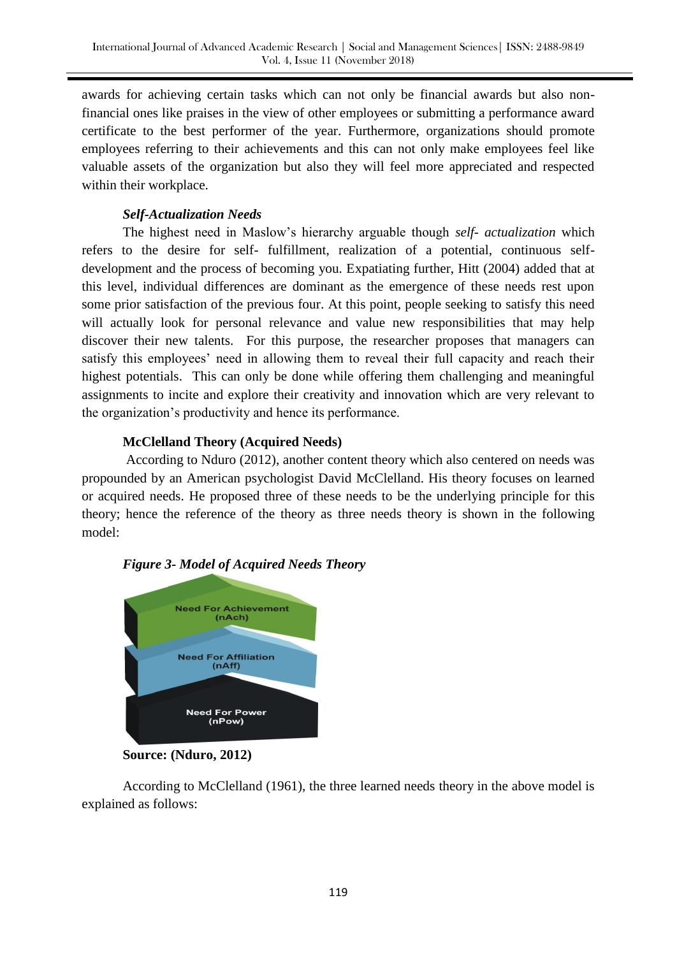awards for achieving certain tasks which can not only be financial awards but also nonfinancial ones like praises in the view of other employees or submitting a performance award certificate to the best performer of the year. Furthermore, organizations should promote employees referring to their achievements and this can not only make employees feel like valuable assets of the organization but also they will feel more appreciated and respected within their workplace.

# *Self-Actualization Needs*

The highest need in Maslow's hierarchy arguable though *self- actualization* which refers to the desire for self- fulfillment, realization of a potential, continuous selfdevelopment and the process of becoming you. Expatiating further, Hitt (2004) added that at this level, individual differences are dominant as the emergence of these needs rest upon some prior satisfaction of the previous four. At this point, people seeking to satisfy this need will actually look for personal relevance and value new responsibilities that may help discover their new talents. For this purpose, the researcher proposes that managers can satisfy this employees' need in allowing them to reveal their full capacity and reach their highest potentials. This can only be done while offering them challenging and meaningful assignments to incite and explore their creativity and innovation which are very relevant to the organization's productivity and hence its performance.

# **McClelland Theory (Acquired Needs)**

According to Nduro (2012), another content theory which also centered on needs was propounded by an American psychologist David McClelland. His theory focuses on learned or acquired needs. He proposed three of these needs to be the underlying principle for this theory; hence the reference of the theory as three needs theory is shown in the following model:



*Figure 3- Model of Acquired Needs Theory*

**Source: (Nduro, 2012)**

According to McClelland (1961), the three learned needs theory in the above model is explained as follows: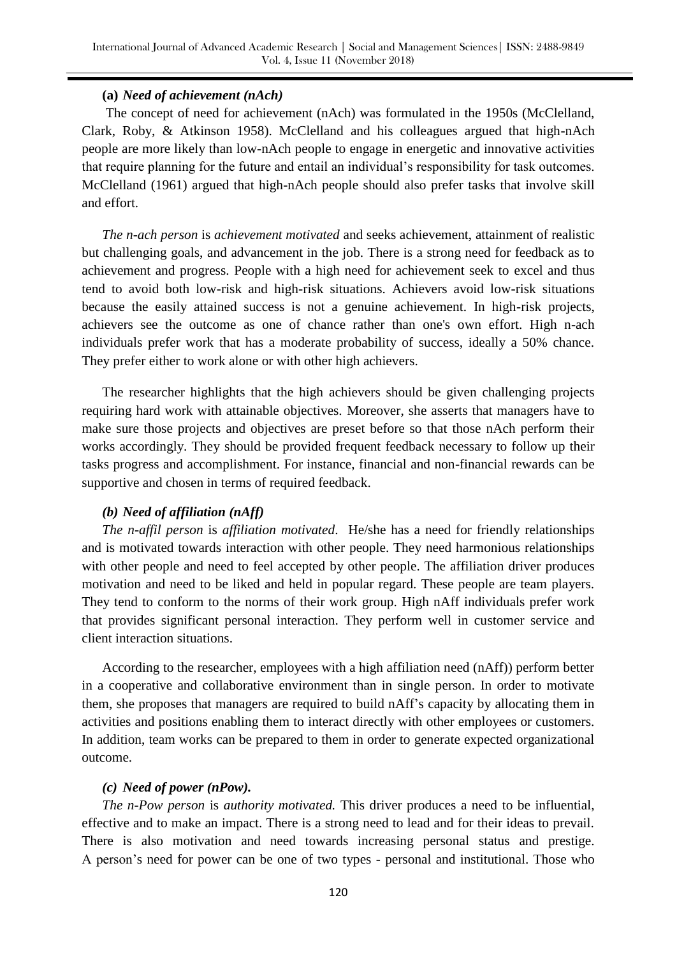# **(a)** *Need of achievement (nAch)*

The concept of need for achievement (nAch) was formulated in the 1950s (McClelland, Clark, Roby, & Atkinson 1958). McClelland and his colleagues argued that high-nAch people are more likely than low-nAch people to engage in energetic and innovative activities that require planning for the future and entail an individual's responsibility for task outcomes. McClelland (1961) argued that high-nAch people should also prefer tasks that involve skill and effort.

*The n-ach person* is *achievement motivated* and seeks achievement, attainment of realistic but challenging goals, and advancement in the job. There is a strong need for feedback as to achievement and progress. People with a high need for achievement seek to excel and thus tend to avoid both low-risk and high-risk situations. Achievers avoid low-risk situations because the easily attained success is not a genuine achievement. In high-risk projects, achievers see the outcome as one of chance rather than one's own effort. High n-ach individuals prefer work that has a moderate probability of success, ideally a 50% chance. They prefer either to work alone or with other high achievers.

The researcher highlights that the high achievers should be given challenging projects requiring hard work with attainable objectives. Moreover, she asserts that managers have to make sure those projects and objectives are preset before so that those nAch perform their works accordingly. They should be provided frequent feedback necessary to follow up their tasks progress and accomplishment. For instance, financial and non-financial rewards can be supportive and chosen in terms of required feedback.

# *(b) Need of affiliation (nAff)*

*The n-affil person* is *affiliation motivated*. He/she has a need for friendly relationships and is motivated towards interaction with other people. They need harmonious relationships with other people and need to feel accepted by other people. The affiliation driver produces motivation and need to be liked and held in popular regard. These people are team players. They tend to conform to the norms of their work group. High nAff individuals prefer work that provides significant personal interaction. They perform well in customer service and client interaction situations.

According to the researcher, employees with a high affiliation need (nAff)) perform better in a cooperative and collaborative environment than in single person. In order to motivate them, she proposes that managers are required to build nAff's capacity by allocating them in activities and positions enabling them to interact directly with other employees or customers. In addition, team works can be prepared to them in order to generate expected organizational outcome.

# *(c) Need of power (nPow).*

*The n-Pow person* is *authority motivated.* This driver produces a need to be influential, effective and to make an impact. There is a strong need to lead and for their ideas to prevail. There is also motivation and need towards increasing personal status and prestige. A person's need for power can be one of two types - personal and institutional. Those who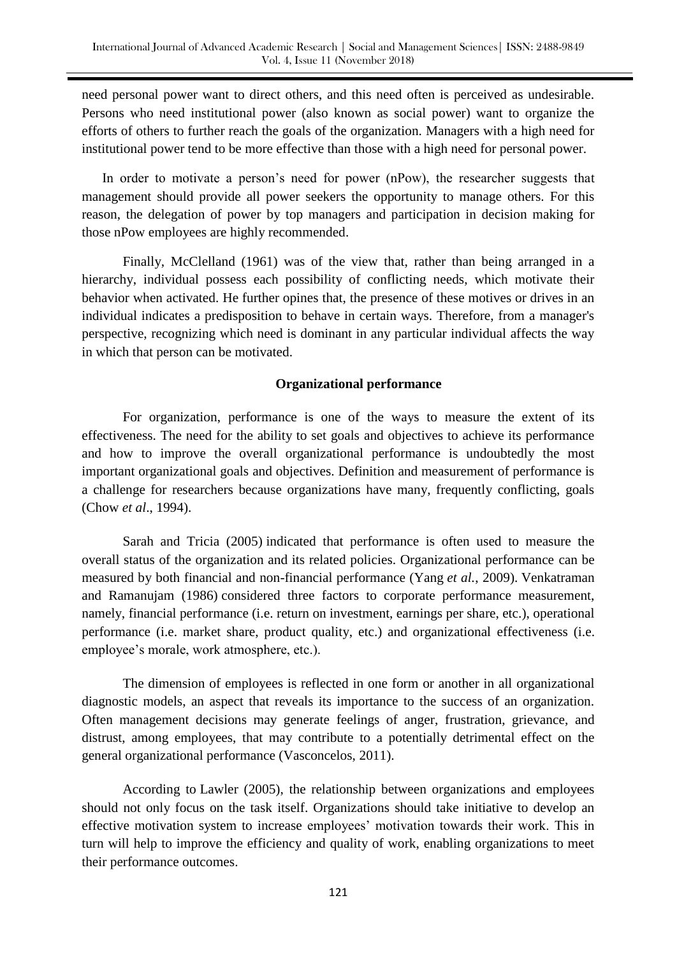need personal power want to direct others, and this need often is perceived as undesirable. Persons who need institutional power (also known as social power) want to organize the efforts of others to further reach the goals of the organization. Managers with a high need for institutional power tend to be more effective than those with a high need for personal power.

In order to motivate a person's need for power (nPow), the researcher suggests that management should provide all power seekers the opportunity to manage others. For this reason, the delegation of power by top managers and participation in decision making for those nPow employees are highly recommended.

Finally, McClelland (1961) was of the view that, rather than being arranged in a hierarchy, individual possess each possibility of conflicting needs, which motivate their behavior when activated. He further opines that, the presence of these motives or drives in an individual indicates a predisposition to behave in certain ways. Therefore, from a manager's perspective, recognizing which need is dominant in any particular individual affects the way in which that person can be motivated.

# **Organizational performance**

For organization, performance is one of the ways to measure the extent of its effectiveness. The need for the ability to set goals and objectives to achieve its performance and how to improve the overall organizational performance is undoubtedly the most important organizational goals and objectives. Definition and measurement of performance is a challenge for researchers because organizations have many, frequently conflicting, goals (Chow *et al*[., 1994\)](https://www.emeraldinsight.com/doi/full/10.1108/MABR-03-2018-0007).

[Sarah and Tricia \(2005\)](https://www.emeraldinsight.com/doi/full/10.1108/MABR-03-2018-0007) indicated that performance is often used to measure the overall status of the organization and its related policies. Organizational performance can be measured by both financial and non-financial performance (Yang *et al.*[, 2009\)](https://www.emeraldinsight.com/doi/full/10.1108/MABR-03-2018-0007). [Venkatraman](https://www.emeraldinsight.com/doi/full/10.1108/MABR-03-2018-0007)  [and Ramanujam \(1986\)](https://www.emeraldinsight.com/doi/full/10.1108/MABR-03-2018-0007) considered three factors to corporate performance measurement, namely, financial performance (i.e. return on investment, earnings per share, etc.), operational performance (i.e. market share, product quality, etc.) and organizational effectiveness (i.e. employee's morale, work atmosphere, etc.).

The dimension of employees is reflected in one form or another in all organizational diagnostic models, an aspect that reveals its importance to the success of an organization. Often management decisions may generate feelings of anger, frustration, grievance, and distrust, among employees, that may contribute to a potentially detrimental effect on the general organizational performance (Vasconcelos, 2011).

According to [Lawler \(2005\),](https://www.emeraldinsight.com/doi/full/10.1108/MABR-03-2018-0007) the relationship between organizations and employees should not only focus on the task itself. Organizations should take initiative to develop an effective motivation system to increase employees' motivation towards their work. This in turn will help to improve the efficiency and quality of work, enabling organizations to meet their performance outcomes.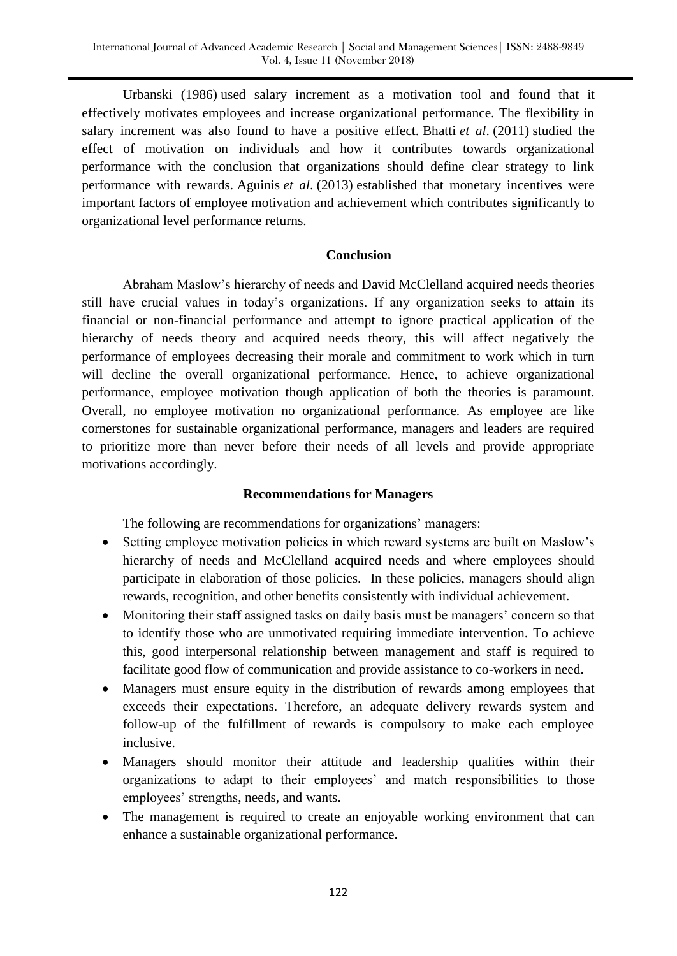[Urbanski \(1986\)](https://www.emeraldinsight.com/doi/full/10.1108/MABR-03-2018-0007) used salary increment as a motivation tool and found that it effectively motivates employees and increase organizational performance. The flexibility in salary increment was also found to have a positive effect. Bhatti *et al*. [\(2011\)](https://www.emeraldinsight.com/doi/full/10.1108/MABR-03-2018-0007) studied the effect of motivation on individuals and how it contributes towards organizational performance with the conclusion that organizations should define clear strategy to link performance with rewards. [Aguinis](https://www.emeraldinsight.com/doi/full/10.1108/MABR-03-2018-0007) *et al*. (2013) established that monetary incentives were important factors of employee motivation and achievement which contributes significantly to organizational level performance returns.

# **Conclusion**

Abraham Maslow's hierarchy of needs and David McClelland acquired needs theories still have crucial values in today's organizations. If any organization seeks to attain its financial or non-financial performance and attempt to ignore practical application of the hierarchy of needs theory and acquired needs theory, this will affect negatively the performance of employees decreasing their morale and commitment to work which in turn will decline the overall organizational performance. Hence, to achieve organizational performance, employee motivation though application of both the theories is paramount. Overall, no employee motivation no organizational performance. As employee are like cornerstones for sustainable organizational performance, managers and leaders are required to prioritize more than never before their needs of all levels and provide appropriate motivations accordingly.

# **Recommendations for Managers**

The following are recommendations for organizations' managers:

- Setting employee motivation policies in which reward systems are built on Maslow's hierarchy of needs and McClelland acquired needs and where employees should participate in elaboration of those policies. In these policies, managers should align rewards, recognition, and other benefits consistently with individual achievement.
- Monitoring their staff assigned tasks on daily basis must be managers' concern so that to identify those who are unmotivated requiring immediate intervention. To achieve this, good interpersonal relationship between management and staff is required to facilitate good flow of communication and provide assistance to co-workers in need.
- Managers must ensure equity in the distribution of rewards among employees that exceeds their expectations. Therefore, an adequate delivery rewards system and follow-up of the fulfillment of rewards is compulsory to make each employee inclusive.
- Managers should monitor their attitude and leadership qualities within their organizations to adapt to their employees' and match responsibilities to those employees' strengths, needs, and wants.
- The management is required to create an enjoyable working environment that can enhance a sustainable organizational performance.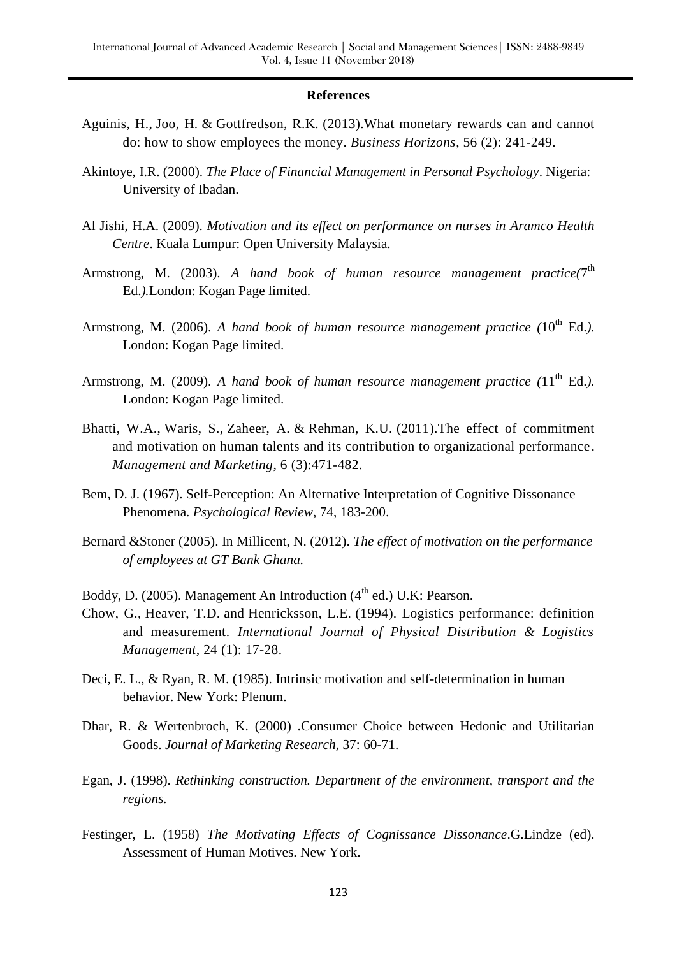#### **References**

- Aguinis, H., Joo, H. & Gottfredson, R.K. (2013).What monetary rewards can and cannot do: how to show employees the money. *Business Horizons*, 56 (2): 241-249.
- Akintoye, I.R. (2000). *The Place of Financial Management in Personal Psychology*. Nigeria: University of Ibadan.
- Al Jishi, H.A. (2009). *Motivation and its effect on performance on nurses in Aramco Health Centre*. Kuala Lumpur: Open University Malaysia.
- Armstrong, M. (2003). A hand book of human resource management practice(7<sup>th</sup> Ed.*).*London: Kogan Page limited.
- Armstrong, M. (2006). *A hand book of human resource management practice* (10<sup>th</sup> Ed.). London: Kogan Page limited.
- Armstrong, M. (2009). *A hand book of human resource management practice* (11<sup>th</sup> Ed.). London: Kogan Page limited.
- Bhatti, W.A., Waris, S., Zaheer, A. & Rehman, K.U. (2011).The effect of commitment and motivation on human talents and its contribution to organizational performance. *Management and Marketing*, 6 (3):471-482.
- Bem, D. J. (1967). Self-Perception: An Alternative Interpretation of Cognitive Dissonance Phenomena. *Psychological Review*, 74, 183-200.
- Bernard &Stoner (2005). In Millicent, N. (2012). *The effect of motivation on the performance of employees at GT Bank Ghana.*
- Boddy, D. (2005). Management An Introduction  $(4<sup>th</sup>$  ed.) U.K: Pearson.
- Chow, G., Heaver, T.D. and Henricksson, L.E. (1994). Logistics performance: definition and measurement. *International Journal of Physical Distribution & Logistics Management*, 24 (1): 17-28.
- Deci, E. L., & Ryan, R. M. (1985). Intrinsic motivation and self-determination in human behavior. New York: Plenum.
- Dhar, R. & Wertenbroch, K. (2000) .Consumer Choice between Hedonic and Utilitarian Goods. *Journal of Marketing Research,* 37: 60-71.
- Egan, J. (1998). *Rethinking construction. Department of the environment, transport and the regions.*
- Festinger, L. (1958) *The Motivating Effects of Cognissance Dissonance*.G.Lindze (ed). Assessment of Human Motives. New York.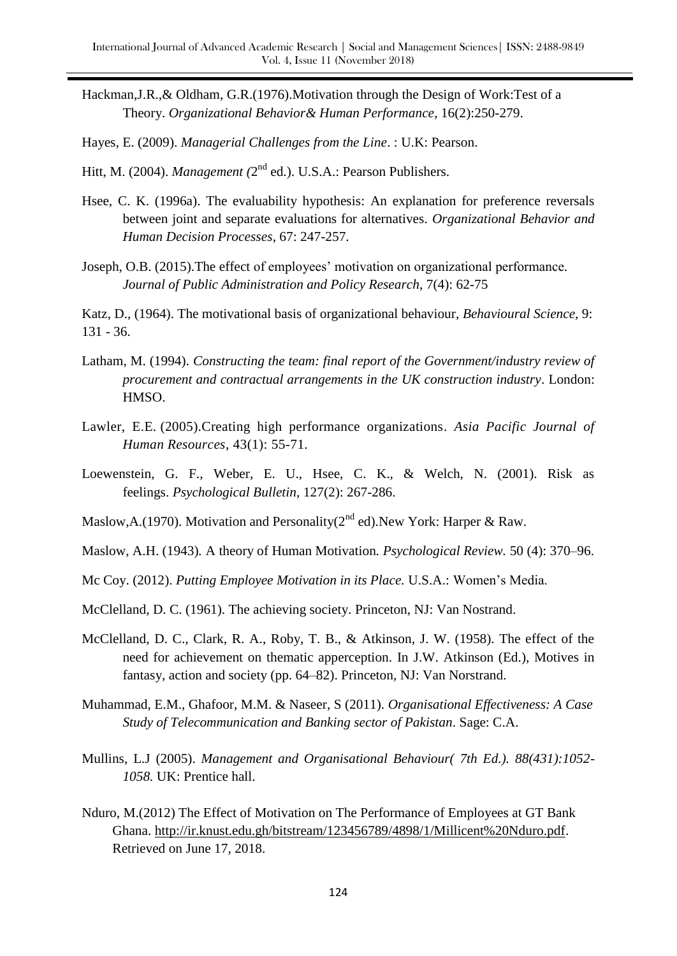- Hackman,J.R.,& Oldham, G.R.(1976).Motivation through the Design of Work:Test of a Theory. *Organizational Behavior& Human Performance*, 16(2):250-279.
- Hayes, E. (2009). *Managerial Challenges from the Line*. : U.K: Pearson.
- Hitt, M. (2004). *Management* (2<sup>nd</sup> ed.). U.S.A.: Pearson Publishers.
- Hsee, C. K. (1996a). The evaluability hypothesis: An explanation for preference reversals between joint and separate evaluations for alternatives. *Organizational Behavior and Human Decision Processes*, 67: 247-257.
- Joseph, O.B. (2015).The effect of employees' motivation on organizational performance*. Journal of Public Administration and Policy Research*, 7(4): 62-75

Katz, D., (1964). The motivational basis of organizational behaviour, *Behavioural Science,* 9: 131 - 36.

- Latham, M. (1994). *Constructing the team: final report of the Government/industry review of procurement and contractual arrangements in the UK construction industry*. London: HMSO.
- Lawler, E.E. (2005).Creating high performance organizations. *Asia Pacific Journal of Human Resources*, 43(1): 55-71.
- Loewenstein, G. F., Weber, E. U., Hsee, C. K., & Welch, N. (2001). Risk as feelings. *Psychological Bulletin,* 127(2): 267-286.
- Maslow,A.(1970). Motivation and Personality( $2<sup>nd</sup>$  ed).New York: Harper & Raw.
- [Maslow, A.H.](https://en.wikipedia.org/wiki/Abraham_Maslow) (1943)*.* A theory of Human Motivation*. Psychological Review.* 50 (4): 370–96.
- Mc Coy. (2012). *Putting Employee Motivation in its Place.* U.S.A.: Women's Media.
- McClelland, D. C. (1961). The achieving society. Princeton, NJ: Van Nostrand.
- McClelland, D. C., Clark, R. A., Roby, T. B., & Atkinson, J. W. (1958). The effect of the need for achievement on thematic apperception. In J.W. Atkinson (Ed.), Motives in fantasy, action and society (pp. 64–82). Princeton, NJ: Van Norstrand.
- Muhammad, E.M., Ghafoor, M.M. & Naseer, S (2011). *Organisational Effectiveness: A Case Study of Telecommunication and Banking sector of Pakistan*. Sage: C.A.
- Mullins, L.J (2005). *Management and Organisational Behaviour( 7th Ed.). 88(431):1052- 1058.* UK: Prentice hall.
- Nduro, M.(2012) The Effect of Motivation on The Performance of Employees at GT Bank Ghana. [http://ir.knust.edu.gh/bitstream/123456789/4898/1/Millicent%20Nduro.pdf.](http://ir.knust.edu.gh/bitstream/123456789/4898/1/Millicent%20Nduro.pdf) Retrieved on June 17, 2018.